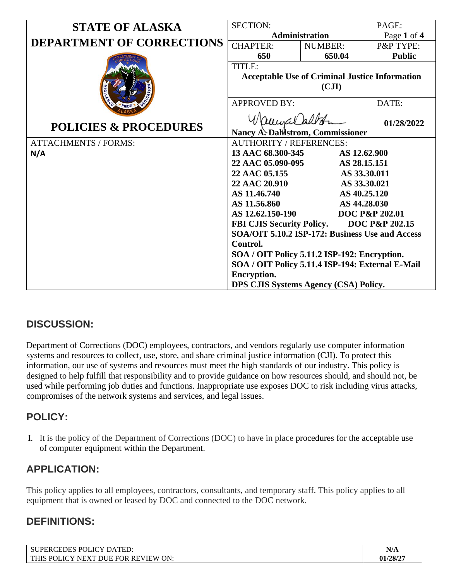| <b>STATE OF ALASKA</b>           | <b>SECTION:</b>                                                     |                                          | PAGE:         |
|----------------------------------|---------------------------------------------------------------------|------------------------------------------|---------------|
|                                  | Administration                                                      |                                          | Page 1 of 4   |
| <b>DEPARTMENT OF CORRECTIONS</b> | <b>CHAPTER:</b>                                                     | <b>NUMBER:</b>                           | P&P TYPE:     |
|                                  | 650                                                                 | 650.04                                   | <b>Public</b> |
|                                  | TITLE:                                                              |                                          |               |
|                                  | <b>Acceptable Use of Criminal Justice Information</b>               |                                          |               |
|                                  | $\left( \text{CJI}\right)$                                          |                                          |               |
|                                  | <b>APPROVED BY:</b>                                                 |                                          | DATE:         |
|                                  |                                                                     |                                          |               |
| <b>POLICIES &amp; PROCEDURES</b> | Wamaaladba                                                          |                                          | 01/28/2022    |
| <b>ATTACHMENTS / FORMS:</b>      | Nancy A. Dallstrom, Commissioner                                    |                                          |               |
| N/A                              | <b>AUTHORITY / REFERENCES:</b><br>13 AAC 68.300-345<br>AS 12.62.900 |                                          |               |
|                                  | 22 AAC 05.090-095<br>AS 28.15.151                                   |                                          |               |
|                                  | 22 AAC 05.155                                                       | AS 33.30.011                             |               |
|                                  | 22 AAC 20.910                                                       | AS 33.30.021                             |               |
|                                  | AS 11.46.740                                                        | AS 40.25.120                             |               |
|                                  | AS 11.56.860                                                        | AS 44.28.030                             |               |
|                                  | AS 12.62.150-190                                                    | <b>DOC P&amp;P 202.01</b>                |               |
|                                  |                                                                     | FBI CJIS Security Policy. DOC P&P 202.15 |               |
|                                  | SOA/OIT 5.10.2 ISP-172: Business Use and Access<br>Control.         |                                          |               |
|                                  |                                                                     |                                          |               |
|                                  | SOA / OIT Policy 5.11.2 ISP-192: Encryption.                        |                                          |               |
|                                  | SOA / OIT Policy 5.11.4 ISP-194: External E-Mail                    |                                          |               |
|                                  | <b>Encryption.</b>                                                  |                                          |               |
|                                  | DPS CJIS Systems Agency (CSA) Policy.                               |                                          |               |

# **DISCUSSION:**

Department of Corrections (DOC) employees, contractors, and vendors regularly use computer information systems and resources to collect, use, store, and share criminal justice information (CJI). To protect this information, our use of systems and resources must meet the high standards of our industry. This policy is designed to help fulfill that responsibility and to provide guidance on how resources should, and should not, be used while performing job duties and functions. Inappropriate use exposes DOC to risk including virus attacks, compromises of the network systems and services, and legal issues.

### **POLICY:**

I. It is the policy of the Department of Corrections (DOC) to have in place procedures for the acceptable use of computer equipment within the Department.

# **APPLICATION:**

This policy applies to all employees, contractors, consultants, and temporary staff. This policy applies to all equipment that is owned or leased by DOC and connected to the DOC network.

### **DEFINITIONS:**

| <b>CEDES</b><br>$D \cap I$<br><b>DATED</b><br>$T\cap V$<br><b>ST</b><br>'PER\<br>ED.                     | $\mathbf{H}$<br>I V/A |
|----------------------------------------------------------------------------------------------------------|-----------------------|
| <b>POLICY</b><br><b>REVIEW</b><br>ON:<br><b>FOR</b><br><b>THIS</b><br><b>DUE</b><br>$\cdot$ NEXT<br>1011 | 01/28/2               |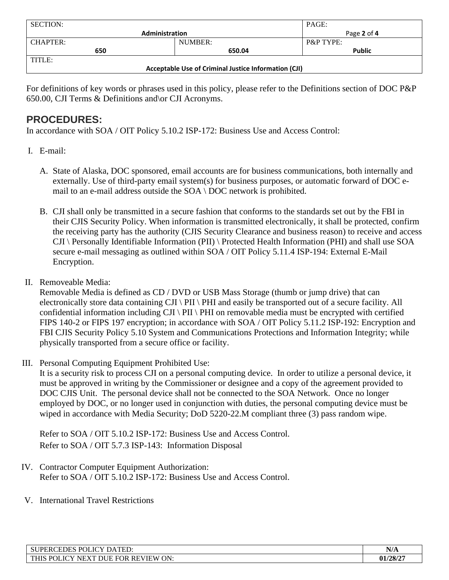| <b>SECTION:</b>                                      |         | PAGE:                |  |
|------------------------------------------------------|---------|----------------------|--|
| <b>Administration</b>                                |         | Page 2 of 4          |  |
| <b>CHAPTER:</b>                                      | NUMBER: | <b>P&amp;P TYPE:</b> |  |
| 650                                                  | 650.04  | <b>Public</b>        |  |
| TITLE:                                               |         |                      |  |
| Acceptable Use of Criminal Justice Information (CJI) |         |                      |  |

For definitions of key words or phrases used in this policy, please refer to the Definitions section of DOC P&P 650.00, CJI Terms & Definitions and\or CJI Acronyms.

## **PROCEDURES:**

In accordance with SOA / OIT Policy 5.10.2 ISP-172: Business Use and Access Control:

- I. E-mail:
	- A. State of Alaska, DOC sponsored, email accounts are for business communications, both internally and externally. Use of third-party email system(s) for business purposes, or automatic forward of DOC email to an e-mail address outside the SOA \ DOC network is prohibited.
	- B. CJI shall only be transmitted in a secure fashion that conforms to the standards set out by the FBI in their CJIS Security Policy. When information is transmitted electronically, it shall be protected, confirm the receiving party has the authority (CJIS Security Clearance and business reason) to receive and access CJI \ Personally Identifiable Information (PII) \ Protected Health Information (PHI) and shall use SOA secure e-mail messaging as outlined within SOA / OIT Policy 5.11.4 ISP-194: External E-Mail Encryption.
- II. Removeable Media:

Removable Media is defined as CD / DVD or USB Mass Storage (thumb or jump drive) that can electronically store data containing CJI \ PII \ PHI and easily be transported out of a secure facility. All confidential information including CJI \ PII \ PHI on removable media must be encrypted with certified FIPS 140-2 or FIPS 197 encryption; in accordance with SOA / OIT Policy 5.11.2 ISP-192: Encryption and FBI CJIS Security Policy 5.10 System and Communications Protections and Information Integrity; while physically transported from a secure office or facility.

III. Personal Computing Equipment Prohibited Use:

It is a security risk to process CJI on a personal computing device. In order to utilize a personal device, it must be approved in writing by the Commissioner or designee and a copy of the agreement provided to DOC CJIS Unit. The personal device shall not be connected to the SOA Network. Once no longer employed by DOC, or no longer used in conjunction with duties, the personal computing device must be wiped in accordance with Media Security; DoD 5220-22.M compliant three (3) pass random wipe.

Refer to SOA / OIT 5.10.2 ISP-172: Business Use and Access Control. Refer to SOA / OIT 5.7.3 ISP-143: Information Disposal

- IV. Contractor Computer Equipment Authorization: Refer to SOA / OIT 5.10.2 ISP-172: Business Use and Access Control.
- V. International Travel Restrictions

| SUPERCEDES POLICY DATED:                                | <b>BTIL</b><br>$'$ $''$ |
|---------------------------------------------------------|-------------------------|
| THIS POLICY N<br>' DUE FOR REVIEW<br>ON:<br><b>NEXT</b> | 01/28/27                |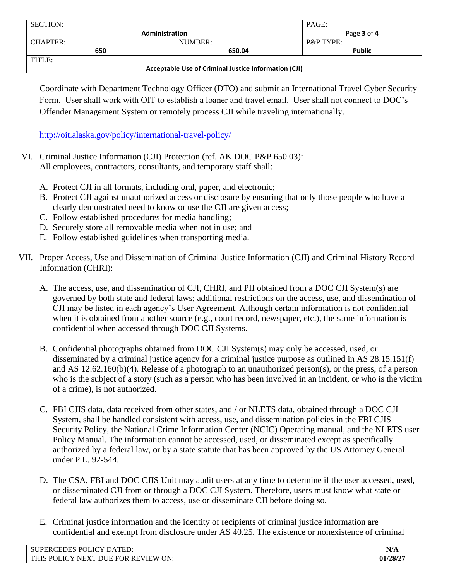| <b>SECTION:</b>                                      |         | PAGE:                |
|------------------------------------------------------|---------|----------------------|
| <b>Administration</b>                                |         | Page 3 of 4          |
| CHAPTER:                                             | NUMBER: | <b>P&amp;P TYPE:</b> |
| 650                                                  | 650.04  | <b>Public</b>        |
| TITLE:                                               |         |                      |
| Acceptable Use of Criminal Justice Information (CJI) |         |                      |

Coordinate with Department Technology Officer (DTO) and submit an International Travel Cyber Security Form. User shall work with OIT to establish a loaner and travel email. User shall not connect to DOC's Offender Management System or remotely process CJI while traveling internationally.

<http://oit.alaska.gov/policy/international-travel-policy/>

- VI. Criminal Justice Information (CJI) Protection (ref. AK DOC P&P 650.03): All employees, contractors, consultants, and temporary staff shall:
	- A. Protect CJI in all formats, including oral, paper, and electronic;
	- B. Protect CJI against unauthorized access or disclosure by ensuring that only those people who have a clearly demonstrated need to know or use the CJI are given access;
	- C. Follow established procedures for media handling;
	- D. Securely store all removable media when not in use; and
	- E. Follow established guidelines when transporting media.
- VII. Proper Access, Use and Dissemination of Criminal Justice Information (CJI) and Criminal History Record Information (CHRI):
	- A. The access, use, and dissemination of CJI, CHRI, and PII obtained from a DOC CJI System(s) are governed by both state and federal laws; additional restrictions on the access, use, and dissemination of CJI may be listed in each agency's User Agreement. Although certain information is not confidential when it is obtained from another source (e.g., court record, newspaper, etc.), the same information is confidential when accessed through DOC CJI Systems.
	- B. Confidential photographs obtained from DOC CJI System(s) may only be accessed, used, or disseminated by a criminal justice agency for a criminal justice purpose as outlined in AS 28.15.151(f) and AS 12.62.160(b)(4). Release of a photograph to an unauthorized person(s), or the press, of a person who is the subject of a story (such as a person who has been involved in an incident, or who is the victim of a crime), is not authorized.
	- C. FBI CJIS data, data received from other states, and / or NLETS data, obtained through a DOC CJI System, shall be handled consistent with access, use, and dissemination policies in the FBI CJIS Security Policy, the National Crime Information Center (NCIC) Operating manual, and the NLETS user Policy Manual. The information cannot be accessed, used, or disseminated except as specifically authorized by a federal law, or by a state statute that has been approved by the US Attorney General under P.L. 92-544.
	- D. The CSA, FBI and DOC CJIS Unit may audit users at any time to determine if the user accessed, used, or disseminated CJI from or through a DOC CJI System. Therefore, users must know what state or federal law authorizes them to access, use or disseminate CJI before doing so.
	- E. Criminal justice information and the identity of recipients of criminal justice information are confidential and exempt from disclosure under AS 40.25. The existence or nonexistence of criminal

| POLICY D<br>$\Delta$ TED:<br><b>SUPERCEDES I</b><br>DA                                                                       | <b>BTI</b><br>N/A |
|------------------------------------------------------------------------------------------------------------------------------|-------------------|
| 'ON.<br><b>DUE</b><br><b>NIEW</b><br><b>THIS</b><br>D∩<br>∕ דר<br>NF<br>RE<br>$\cdot$<br><b>FOR</b><br>DI JK<br>$\mathbf{x}$ | 1/28/2            |